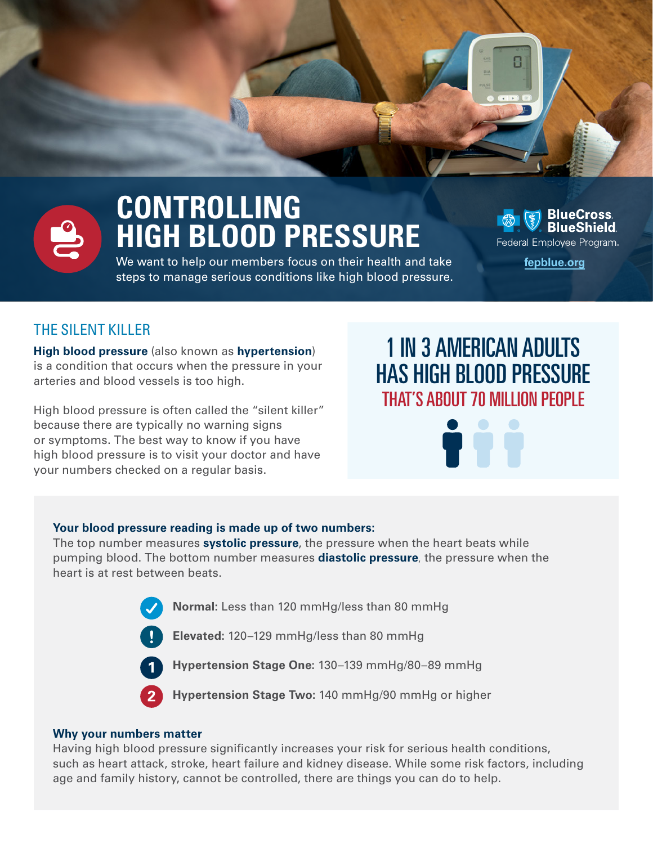

# **CONTROLLING HIGH BLOOD PRESSURE**

We want to help our members focus on their health and take **[fepblue.org](https://www.fepblue.org/)**  steps to manage serious conditions like high blood pressure.



## THE SILENT KILLER

**High blood pressure** (also known as **hypertension**) is a condition that occurs when the pressure in your arteries and blood vessels is too high.

High blood pressure is often called the "silent killer" because there are typically no warning signs or symptoms. The best way to know if you have high blood pressure is to visit your doctor and have your numbers checked on a regular basis.

## 1 IN 3 AMERICAN ADULTS HAS HIGH BLOOD PRESSURE THAT'S ABOUT 70 MILLION PEOPLE

#### **Your blood pressure reading is made up of two numbers:**

The top number measures **systolic pressure**, the pressure when the heart beats while pumping blood. The bottom number measures **diastolic pressure**, the pressure when the heart is at rest between beats.





**Elevated:** 120–129 mmHg/less than 80 mmHg

1

**Hypertension Stage One:** 130–139 mmHg/80–89 mmHg

2

**Hypertension Stage Two:** 140 mmHg/90 mmHg or higher

#### **Why your numbers matter**

Having high blood pressure signifcantly increases your risk for serious health conditions, such as heart attack, stroke, heart failure and kidney disease. While some risk factors, including age and family history, cannot be controlled, there are things you can do to help.